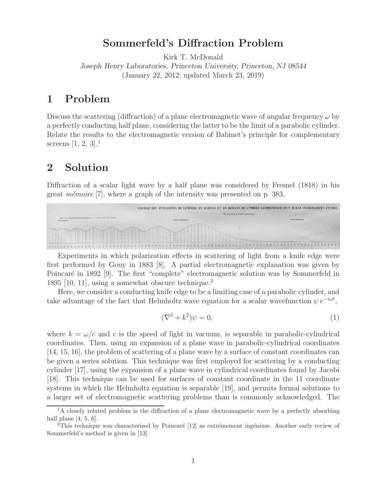# **Sommerfeld's Diffraction Problem**

Kirk T. McDonald *Joseph Henry Laboratories, Princeton University, Princeton, NJ 08544* (January 22, 2012; updated March 23, 2019)

## **1 Problem**

Discuss the scattering (diffraction) of a plane electromagnetic wave of angular frequency  $\omega$  by a perfectly conducting half plane, considering the latter to be the limit of a parabolic cylinder. Relate the results to the electromagnetic version of Babinet's principle for complementary screens [1, 2, 3].<sup>1</sup>

# **2 Solution**

Diffraction of a scalar light wave by a half plane was considered by Fresnel (1818) in his great *mêmoire* [7], where a graph of the intensity was presented on p. 383,



Experiments in which polarization effects in scattering of light from a knife edge were first performed by Gouy in 1883 [8]. A partial electromagnetic explanation was given by Poincaré in 1892 [9]. The first "complete" electromagnetic solution was by Sommerfeld in 1895 [10, 11], using a somewhat obscure technique.<sup>2</sup>

Here, we consider a conducting knife edge to be a limiting case of a parabolic cylinder, and take advantage of the fact that Helmholtz wave equation for a scalar wavefunction  $\psi e^{-i\omega t}$ ,

$$
(\nabla^2 + k^2)\psi = 0,\t\t(1)
$$

where  $k = \omega/c$  and c is the speed of light in vacuum, is separable in parabolic-cylindrical coordinates. Then, using an expansion of a plane wave in parabolic-cylindrical coordinates [14, 15, 16], the problem of scattering of a plane wave by a surface of constant coordinates can be given a series solution. This technique was first employed for scattering by a conducting cylinder [17], using the expansion of a plane wave in cylindrical coordinates found by Jacobi [18]. This technique can be used for surfaces of constant coordinate in the 11 coordinate systems in which the Helmholtz equation is separable [19], and permits formal solutions to a larger set of electromagnetic scattering problems than is commonly acknowledged. The

 ${}^{1}$ A closely related problem is the diffraction of a plane electromagnetic wave by a perfectly absorbing half plane [4, 5, 6].

<sup>&</sup>lt;sup>2</sup>This technique was characterized by Poincaré [12] as *extrémement ingéniuse*. Another early review of Sommerfeld's method is given in [13].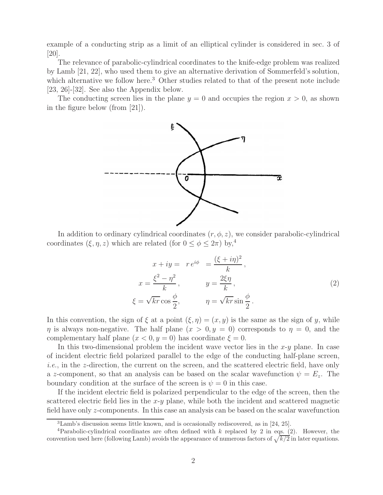example of a conducting strip as a limit of an elliptical cylinder is considered in sec. 3 of [20].

The relevance of parabolic-cylindrical coordinates to the knife-edge problem was realized by Lamb [21, 22], who used them to give an alternative derivation of Sommerfeld's solution, which alternative we follow here.<sup>3</sup> Other studies related to that of the present note include [23, 26]-[32]. See also the Appendix below.

The conducting screen lies in the plane  $y = 0$  and occupies the region  $x > 0$ , as shown in the figure below (from [21]).



In addition to ordinary cylindrical coordinates  $(r, \phi, z)$ , we consider parabolic-cylindrical coordinates  $(\xi, \eta, z)$  which are related (for  $0 \le \phi \le 2\pi$ ) by,<sup>4</sup>

$$
x + iy = r e^{i\phi} = \frac{(\xi + i\eta)^2}{k},
$$
  
\n
$$
x = \frac{\xi^2 - \eta^2}{k}, \qquad y = \frac{2\xi\eta}{k},
$$
  
\n
$$
\xi = \sqrt{kr} \cos\frac{\phi}{2}, \qquad \eta = \sqrt{kr} \sin\frac{\phi}{2}.
$$
  
\n(2)

In this convention, the sign of  $\xi$  at a point  $(\xi, \eta)=(x, y)$  is the same as the sign of y, while  $\eta$  is always non-negative. The half plane  $(x > 0, y = 0)$  corresponds to  $\eta = 0$ , and the complementary half plane  $(x < 0, y = 0)$  has coordinate  $\xi = 0$ .

In this two-dimensional problem the incident wave vector lies in the  $x-y$  plane. In case of incident electric field polarized parallel to the edge of the conducting half-plane screen, i.e., in the z-direction, the current on the screen, and the scattered electric field, have only a z-component, so that an analysis can be based on the scalar wavefunction  $\psi = E_z$ . The boundary condition at the surface of the screen is  $\psi = 0$  in this case.

If the incident electric field is polarized perpendicular to the edge of the screen, then the scattered electric field lies in the  $x-y$  plane, while both the incident and scattered magnetic field have only z-components. In this case an analysis can be based on the scalar wavefunction

<sup>3</sup>Lamb's discussion seems little known, and is occasionally rediscovered, as in [24, 25].

<sup>&</sup>lt;sup>4</sup>Parabolic-cylindrical coordinates are often defined with k replaced by 2 in eqs. (2). However, the convention used here (following Lamb) avoids the appearance of numerous factors of  $\sqrt{k/2}$  in later equations.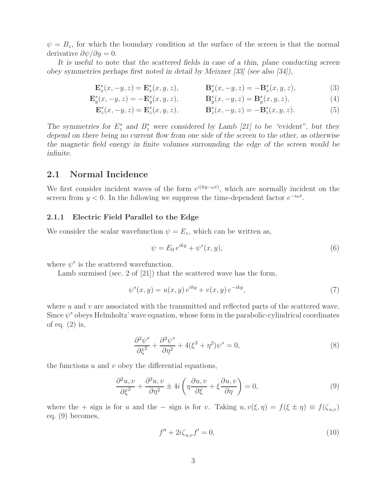$\psi = B_z$ , for which the boundary condition at the surface of the screen is that the normal derivative  $\partial \psi / \partial y = 0$ .

*It is useful to note that the scattered fields in case of a thin, plane conducting screen obey symmetries perhaps first noted in detail by Meixner [33] (see also [34]),*

$$
\mathbf{E}_x^s(x, -y, z) = \mathbf{E}_x^s(x, y, z), \qquad \mathbf{B}_x^s(x, -y, z) = -\mathbf{B}_x^s(x, y, z), \tag{3}
$$

$$
\mathbf{E}_y^s(x, -y, z) = -\mathbf{E}_y^s(x, y, z), \qquad \mathbf{B}_y^s(x, -y, z) = \mathbf{B}_y^s(x, y, z), \tag{4}
$$

$$
\mathbf{E}_z^s(x, -y, z) = \mathbf{E}_z^s(x, y, z), \qquad \mathbf{B}_z^s(x, -y, z) = -\mathbf{B}_z^s(x, y, z). \tag{5}
$$

The symmetries for  $E_z^s$  and  $B_z^s$  were considered by Lamb [21] to be "evident", but they *depend on there being no current flow from one side of the screen to the other, as otherwise the magnetic field energy in finite volumes surrounding the edge of the screen would be infinite.*

## **2.1 Normal Incidence**

We first consider incident waves of the form  $e^{i(ky-\omega t)}$ , which are normally incident on the screen from  $y < 0$ . In the following we suppress the time-dependent factor  $e^{-i\omega t}$ .

### **2.1.1 Electric Field Parallel to the Edge**

We consider the scalar wavefunction  $\psi = E_z$ , which can be written as,

$$
\psi = E_0 e^{iky} + \psi^s(x, y),\tag{6}
$$

where  $\psi^s$  is the scattered wavefunction.

Lamb surmised (sec. 2 of [21]) that the scattered wave has the form,

$$
\psi^{s}(x, y) = u(x, y) e^{iky} + v(x, y) e^{-iky}, \qquad (7)
$$

where  $u$  and  $v$  are associated with the transmitted and reflected parts of the scattered wave. Since  $\psi^s$  obeys Helmholtz' wave equation, whose form in the parabolic-cylindrical coordinates of eq. (2) is,

$$
\frac{\partial^2 \psi^s}{\partial \xi^2} + \frac{\partial^2 \psi^s}{\partial \eta^2} + 4(\xi^2 + \eta^2)\psi^s = 0,
$$
\n(8)

the functions  $u$  and  $v$  obey the differential equations,

$$
\frac{\partial^2 u, v}{\partial \xi^2} + \frac{\partial^2 u, v}{\partial \eta^2} \pm 4i \left( \eta \frac{\partial u, v}{\partial \xi} + \xi \frac{\partial u, v}{\partial \eta} \right) = 0, \tag{9}
$$

where the + sign is for u and the – sign is for v. Taking  $u, v(\xi, \eta) = f(\xi \pm \eta) \equiv f(\zeta_{u,v})$ eq. (9) becomes,

$$
f'' + 2i\zeta_{u,v}f' = 0,\t\t(10)
$$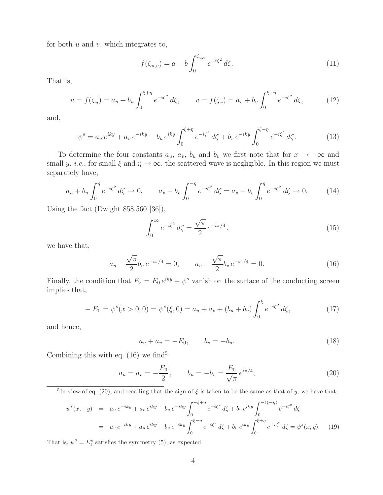for both  $u$  and  $v$ , which integrates to,

$$
f(\zeta_{u,v}) = a + b \int_0^{\zeta_{u,v}} e^{-i\zeta^2} d\zeta.
$$
 (11)

That is,

$$
u = f(\zeta_u) = a_u + b_u \int_0^{\xi + \eta} e^{-i\zeta^2} d\zeta, \qquad v = f(\zeta_v) = a_v + b_v \int_0^{\xi - \eta} e^{-i\zeta^2} d\zeta,
$$
 (12)

and,

$$
\psi^s = a_u e^{iky} + a_v e^{-iky} + b_u e^{iky} \int_0^{\xi + \eta} e^{-i\zeta^2} d\zeta + b_v e^{-iky} \int_0^{\xi - \eta} e^{-i\zeta^2} d\zeta.
$$
 (13)

To determine the four constants  $a_u$ ,  $a_v$ ,  $b_u$  and  $b_v$  we first note that for  $x \to -\infty$  and small y, i.e., for small  $\xi$  and  $\eta \to \infty$ , the scattered wave is negligible. In this region we must separately have,

$$
a_u + b_u \int_0^{\eta} e^{-i\zeta^2} d\zeta \to 0, \qquad a_v + b_v \int_0^{-\eta} e^{-i\zeta^2} d\zeta = a_v - b_v \int_0^{\eta} e^{-i\zeta^2} d\zeta \to 0.
$$
 (14)

Using the fact (Dwight 858.560 [36]),

$$
\int_0^\infty e^{-i\zeta^2} \, d\zeta = \frac{\sqrt{\pi}}{2} \, e^{-i\pi/4} \,,\tag{15}
$$

we have that,

$$
a_u + \frac{\sqrt{\pi}}{2} b_u \, e^{-i\pi/4} = 0, \qquad a_v - \frac{\sqrt{\pi}}{2} b_v \, e^{-i\pi/4} = 0. \tag{16}
$$

Finally, the condition that  $E_z = E_0 e^{iky} + \psi^s$  vanish on the surface of the conducting screen implies that,

$$
-E_0 = \psi^s(x > 0, 0) = \psi^s(\xi, 0) = a_u + a_v + (b_u + b_v) \int_0^{\xi} e^{-i\zeta^2} d\zeta,
$$
\n(17)

and hence,

$$
a_u + a_v = -E_0, \t b_v = -b_u.
$$
\t(18)

Combining this with eq.  $(16)$  we find<sup>5</sup>

$$
a_u = a_v = -\frac{E_0}{2}, \qquad b_u = -b_v = \frac{E_0}{\sqrt{\pi}} e^{i\pi/4}, \tag{20}
$$

<sup>5</sup>In view of eq. (20), and recalling that the sign of  $\xi$  is taken to be the same as that of y, we have that,

$$
\psi^{s}(x, -y) = a_{u} e^{-iky} + a_{v} e^{iky} + b_{u} e^{-iky} \int_{0}^{-\xi + \eta} e^{-i\zeta^{2}} d\zeta + b_{v} e^{iky} \int_{0}^{-(\xi + \eta)} e^{-i\zeta^{2}} d\zeta
$$
  
=  $a_{v} e^{-iky} + a_{u} e^{iky} + b_{v} e^{-iky} \int_{0}^{\xi - \eta} e^{-i\zeta^{2}} d\zeta + b_{u} e^{iky} \int_{0}^{\xi + \eta} e^{-i\zeta^{2}} d\zeta = \psi^{s}(x, y).$  (19)

That is,  $\psi^s = E_z^s$  satisfies the symmetry (5), as expected.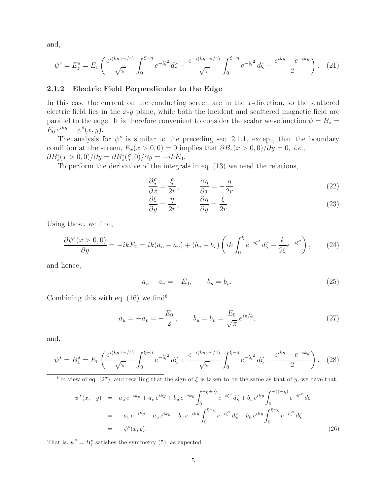and,

$$
\psi^s = E_z^s = E_0 \left( \frac{e^{i(ky + \pi/4)}}{\sqrt{\pi}} \int_0^{\xi + \eta} e^{-i\zeta^2} d\zeta - \frac{e^{-i(ky - \pi/4)}}{\sqrt{\pi}} \int_0^{\xi - \eta} e^{-i\zeta^2} d\zeta - \frac{e^{iky} + e^{-iky}}{2} \right). \tag{21}
$$

### **2.1.2 Electric Field Perpendicular to the Edge**

In this case the current on the conducting screen are in the  $x$ -direction, so the scattered electric field lies in the  $x-y$  plane, while both the incident and scattered magnetic field are parallel to the edge. It is therefore convenient to consider the scalar wavefunction  $\psi = B_z =$  $E_0 e^{iky} + \psi^s(x, y)$ .

The analysis for  $\psi^s$  is similar to the preceding sec. 2.1.1, except, that the boundary condition at the screen,  $E_x(x > 0, 0) = 0$  implies that  $\partial B_z(x > 0, 0)/\partial y = 0$ , *i.e.*,  $\partial B_z^s(x>0,0)/\partial y = \partial B_z^s(\xi,0)/\partial y = -ikE_0.$ 

To perform the derivative of the integrals in eq. (13) we need the relations,

$$
\frac{\partial \xi}{\partial x} = \frac{\xi}{2r}, \qquad \frac{\partial \eta}{\partial x} = -\frac{\eta}{2r}, \qquad (22)
$$

$$
\frac{\partial \xi}{\partial y} = \frac{\eta}{2r}, \qquad \frac{\partial \eta}{\partial y} = \frac{\xi}{2r}.
$$
 (23)

Using these, we find,

$$
\frac{\partial \psi^s(x>0,0)}{\partial y} = -ikE_0 = ik(a_u - a_v) + (b_u - b_v) \left( ik \int_0^{\xi} e^{-i\zeta^2} d\zeta + \frac{k}{2\xi} e^{-i\xi^2} \right), \tag{24}
$$

and hence,

$$
a_u - a_v = -E_0, \t b_u = b_v.
$$
\t(25)

Combining this with eq.  $(16)$  we find<sup>6</sup>

$$
a_u = -a_v = -\frac{E_0}{2}, \qquad b_u = b_v = \frac{E_0}{\sqrt{\pi}} e^{i\pi/4}, \tag{27}
$$

and,

$$
\psi^s = B_z^s = E_0 \left( \frac{e^{i(ky + \pi/4)}}{\sqrt{\pi}} \int_0^{\xi + \eta} e^{-i\zeta^2} d\zeta + \frac{e^{-i(ky - \pi/4)}}{\sqrt{\pi}} \int_0^{\xi - \eta} e^{-i\zeta^2} d\zeta - \frac{e^{iky} - e^{-iky}}{2} \right). \tag{28}
$$

<sup>6</sup>In view of eq. (27), and recalling that the sign of  $\xi$  is taken to be the same as that of y, we have that,

$$
\psi^{s}(x, -y) = a_{u} e^{-iky} + a_{v} e^{iky} + b_{u} e^{-iky} \int_{0}^{-\xi + \eta} e^{-i\zeta^{2}} d\zeta + b_{v} e^{iky} \int_{0}^{-(\xi + \eta)} e^{-i\zeta^{2}} d\zeta
$$
  

$$
= -a_{v} e^{-iky} - a_{u} e^{iky} - b_{v} e^{-iky} \int_{0}^{\xi - \eta} e^{-i\zeta^{2}} d\zeta - b_{u} e^{iky} \int_{0}^{\xi + \eta} e^{-i\zeta^{2}} d\zeta
$$
  

$$
= -\psi^{s}(x, y).
$$
 (26)

That is,  $\psi^s = B_z^s$  satisfies the symmetry (5), as expected.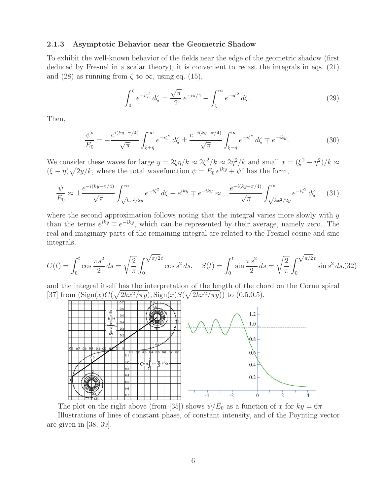#### **2.1.3 Asymptotic Behavior near the Geometric Shadow**

To exhibit the well-known behavior of the fields near the edge of the geometric shadow (first deduced by Fresnel in a scalar theory), it is convenient to recast the integrals in eqs. (21) and (28) as running from  $\zeta$  to  $\infty$ , using eq. (15),

$$
\int_0^{\zeta} e^{-i\zeta^2} d\zeta = \frac{\sqrt{\pi}}{2} e^{-i\pi/4} - \int_{\zeta}^{\infty} e^{-i\zeta^2} d\zeta.
$$
 (29)

Then,

$$
\frac{\psi^s}{E_0} = -\frac{e^{i(ky+\pi/4)}}{\sqrt{\pi}} \int_{\xi+\eta}^{\infty} e^{-i\zeta^2} d\zeta \pm \frac{e^{-i(ky-\pi/4)}}{\sqrt{\pi}} \int_{\xi-\eta}^{\infty} e^{-i\zeta^2} d\zeta \mp e^{-iky}.
$$
 (30)

We consider these waves for large  $y = 2\xi \eta/k \approx 2\xi^2/k \approx 2\eta^2/k$  and small  $x = (\xi^2 - \eta^2)/k \approx$  $(\xi - \eta)\sqrt{2y/k}$ , where the total wavefunction  $\psi = E_0 e^{iky} + \psi^s$  has the form,

$$
\frac{\psi}{E_0} \approx \pm \frac{e^{-i(ky - \pi/4)}}{\sqrt{\pi}} \int_{\sqrt{kx^2/2y}}^{\infty} e^{-i\zeta^2} d\zeta + e^{iky} \mp e^{-iky} \approx \pm \frac{e^{-i(ky - \pi/4)}}{\sqrt{\pi}} \int_{\sqrt{kx^2/2y}}^{\infty} e^{-i\zeta^2} d\zeta, \quad (31)
$$

where the second approximation follows noting that the integral varies more slowly with  $y$ than the terms  $e^{iky} \mp e^{-iky}$ , which can be represented by their average, namely zero. The real and imaginary parts of the remaining integral are related to the Fresnel cosine and sine integrals,

$$
C(t) = \int_0^t \cos \frac{\pi s^2}{2} ds = \sqrt{\frac{2}{\pi}} \int_0^{\sqrt{\pi/2}t} \cos s^2 ds, \quad S(t) = \int_0^t \sin \frac{\pi s^2}{2} ds = \sqrt{\frac{2}{\pi}} \int_0^{\sqrt{\pi/2}t} \sin s^2 ds, (32)
$$

and the integral itself has the interpretation of the length of the chord on the Cornu spiral [37] from  $(Sign(x)C(\sqrt{2kx^2/\pi y}), Sign(x)S(\sqrt{2kx^2/\pi y}))$  to (0.5,0.5).



The plot on the right above (from [35]) shows  $\psi/E_0$  as a function of x for  $ky = 6\pi$ . Illustrations of lines of constant phase, of constant intensity, and of the Poynting vector are given in [38, 39].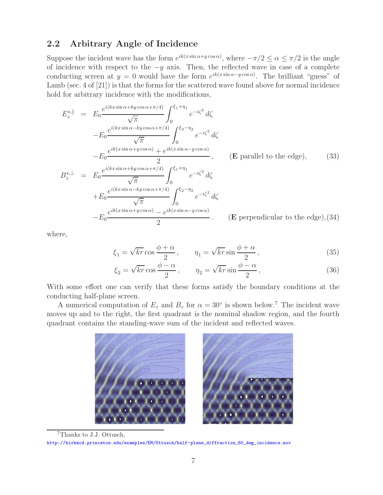## **2.2 Arbitrary Angle of Incidence**

Suppose the incident wave has the form  $e^{ik(x \sin \alpha + y \cos \alpha)}$ , where  $-\pi/2 \le \alpha \le \pi/2$  is the angle of incidence with respect to the  $-y$  axis. Then, the reflected wave in case of a complete conducting screen at  $y = 0$  would have the form  $e^{ik(x \sin \alpha - y \cos \alpha)}$ . The brilliant "guess" of Lamb (sec. 4 of [21]) is that the forms for the scattered wave found above for normal incidence hold for arbitrary incidence with the modifications,

$$
E_z^{s, \parallel} = E_0 \frac{e^{i(kx \sin \alpha + ky \cos \alpha + \pi/4)}}{\sqrt{\pi}} \int_0^{\xi_1 + \eta_1} e^{-i\zeta^2} d\zeta
$$
  
\n
$$
-E_0 \frac{e^{i(kx \sin \alpha - ky \cos \alpha + \pi/4)}}{\sqrt{\pi}} \int_0^{\xi_2 - \eta_2} e^{-i\zeta^2} d\zeta
$$
  
\n
$$
-E_0 \frac{e^{ik(x \sin \alpha + y \cos \alpha)} + e^{ik(x \sin \alpha - y \cos \alpha)}}{2}, \qquad \text{(E parallel to the edge)}, \qquad (33)
$$
  
\n
$$
B_z^{s, \perp} = E_0 \frac{e^{i(kx \sin \alpha + ky \cos \alpha + \pi/4)}}{\sqrt{\pi}} \int_0^{\xi_1 + \eta_1} e^{-i\zeta^2} d\zeta
$$
  
\n
$$
+E_0 \frac{e^{i(kx \sin \alpha - ky \cos \alpha + \pi/4)}}{\sqrt{\pi}} \int_0^{\xi_2 - \eta_2} e^{-i\zeta^2} d\zeta
$$
  
\n
$$
-E_0 \frac{e^{ik(x \sin \alpha - ky \cos \alpha)} - e^{ik(x \sin \alpha - y \cos \alpha)}}{2}.
$$
  
\n(E perpendicular to the edge), (34)

where,

$$
\xi_1 = \sqrt{kr} \cos \frac{\phi + \alpha}{2}, \qquad \eta_1 = \sqrt{kr} \sin \frac{\phi + \alpha}{2}, \tag{35}
$$

$$
\xi_2 = \sqrt{kr} \cos \frac{\phi - \alpha}{2}, \qquad \eta_2 = \sqrt{kr} \sin \frac{\phi - \alpha}{2}, \tag{36}
$$

With some effort one can verify that these forms satisfy the boundary conditions at the conducting half-plane screen.

A numerical computation of  $E_z$  and  $B_z$  for  $\alpha = 30^{\circ}$  is shown below.<sup>7</sup> The incident wave moves up and to the right, the first quadrant is the nominal shadow region, and the fourth quadrant contains the standing-wave sum of the incident and reflected waves.



<sup>7</sup>Thanks to J.J. Ottusch, http://kirkmcd.princeton.edu/examples/EM/Ottusch/half-plane\_diffraction\_60\_deg\_incidence.mov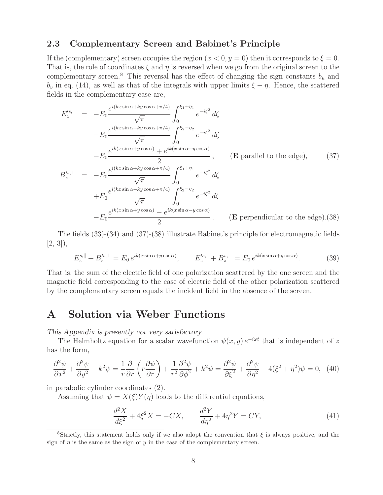### **2.3 Complementary Screen and Babinet's Principle**

If the (complementary) screen occupies the region  $(x < 0, y = 0)$  then it corresponds to  $\xi = 0$ . That is, the role of coordinates  $\xi$  and  $\eta$  is reversed when we go from the original screen to the complementary screen.<sup>8</sup> This reversal has the effect of changing the sign constants  $b_u$  and  $b_v$  in eq. (14), as well as that of the integrals with upper limits  $\xi - \eta$ . Hence, the scattered fields in the complementary case are,

$$
E_z'^{s, \parallel} = -E_0 \frac{e^{i(kx \sin \alpha + ky \cos \alpha + \pi/4)}}{\sqrt{\pi}} \int_0^{\xi_1 + \eta_1} e^{-i\zeta^2} d\zeta
$$
  
\n
$$
-E_0 \frac{e^{i(kx \sin \alpha - ky \cos \alpha + \pi/4)}}{\sqrt{\pi}} \int_0^{\xi_2 - \eta_2} e^{-i\zeta^2} d\zeta
$$
  
\n
$$
-E_0 \frac{e^{ik(x \sin \alpha + y \cos \alpha)} + e^{ik(x \sin \alpha - y \cos \alpha)}}{2}, \qquad \text{(E parallel to the edge)}, \qquad (37)
$$
  
\n
$$
B_z'^{s, \perp} = -E_0 \frac{e^{i(kx \sin \alpha + ky \cos \alpha + \pi/4)}}{\sqrt{\pi}} \int_0^{\xi_1 + \eta_1} e^{-i\zeta^2} d\zeta
$$
  
\n
$$
+E_0 \frac{e^{i(kx \sin \alpha - ky \cos \alpha + \pi/4)}}{\sqrt{\pi}} \int_0^{\xi_2 - \eta_2} e^{-i\zeta^2} d\zeta
$$
  
\n
$$
-E_0 \frac{e^{ik(x \sin \alpha + y \cos \alpha)} - e^{ik(x \sin \alpha - y \cos \alpha)}}{2}.
$$
  
\n(E perpendicular to the edge). (38)

The fields (33)-(34) and (37)-(38) illustrate Babinet's principle for electromagnetic fields  $[2, 3]$ ,

$$
E_z^{s, \parallel} + B_z'^{s, \perp} = E_0 e^{ik(x \sin \alpha + y \cos \alpha)}, \qquad E_z'^{s, \parallel} + B_z^{s, \perp} = E_0 e^{ik(x \sin \alpha + y \cos \alpha)}.
$$
 (39)

That is, the sum of the electric field of one polarization scattered by the one screen and the magnetic field corresponding to the case of electric field of the other polarization scattered by the complementary screen equals the incident field in the absence of the screen.

# **A Solution via Weber Functions**

*This Appendix is presently not very satisfactory.*

The Helmholtz equation for a scalar wavefunction  $\psi(x, y) e^{-i\omega t}$  that is independent of z has the form,

$$
\frac{\partial^2 \psi}{\partial x^2} + \frac{\partial^2 \psi}{\partial y^2} + k^2 \psi = \frac{1}{r} \frac{\partial}{\partial r} \left( r \frac{\partial \psi}{\partial r} \right) + \frac{1}{r^2} \frac{\partial^2 \psi}{\partial \phi^2} + k^2 \psi = \frac{\partial^2 \psi}{\partial \xi^2} + \frac{\partial^2 \psi}{\partial \eta^2} + 4(\xi^2 + \eta^2)\psi = 0, \tag{40}
$$

in parabolic cylinder coordinates (2).

Assuming that  $\psi = X(\xi)Y(\eta)$  leads to the differential equations,

$$
\frac{d^2X}{d\xi^2} + 4\xi^2 X = -CX, \qquad \frac{d^2Y}{d\eta^2} + 4\eta^2 Y = CY,\tag{41}
$$

<sup>&</sup>lt;sup>8</sup>Strictly, this statement holds only if we also adopt the convention that  $\xi$  is always positive, and the sign of  $\eta$  is the same as the sign of y in the case of the complementary screen.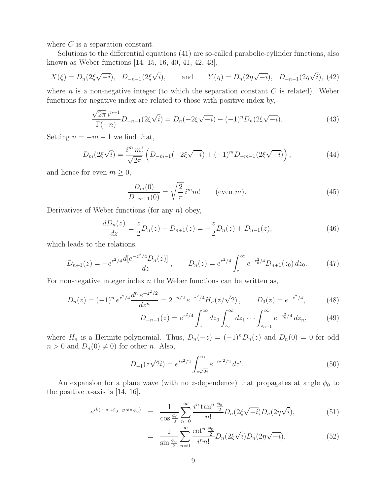where  $C$  is a separation constant.

Solutions to the differential equations (41) are so-called parabolic-cylinder functions, also known as Weber functions [14, 15, 16, 40, 41, 42, 43],

$$
X(\xi) = D_n(2\xi\sqrt{-i}), \quad D_{-n-1}(2\xi\sqrt{i}),
$$
 and  $Y(\eta) = D_n(2\eta\sqrt{-i}), \quad D_{-n-1}(2\eta\sqrt{i}),$  (42)

where n is a non-negative integer (to which the separation constant  $C$  is related). Weber functions for negative index are related to those with positive index by,

$$
\frac{\sqrt{2\pi}i^{n+1}}{\Gamma(-n)}D_{-n-1}(2\xi\sqrt{i}) = D_n(-2\xi\sqrt{-i}) - (-1)^n D_n(2\xi\sqrt{-i}).
$$
\n(43)

Setting  $n = -m - 1$  we find that,

$$
D_m(2\xi\sqrt{i}) = \frac{i^m \, m!}{\sqrt{2\pi}} \left( D_{-m-1}(-2\xi\sqrt{-i}) + (-1)^m D_{-m-1}(2\xi\sqrt{-i}) \right),\tag{44}
$$

and hence for even  $m \geq 0$ ,

$$
\frac{D_m(0)}{D_{-m-1}(0)} = \sqrt{\frac{2}{\pi}} i^m m! \qquad \text{(even } m\text{)}.
$$
\n(45)

Derivatives of Weber functions (for any  $n$ ) obey,

$$
\frac{dD_n(z)}{dz} = \frac{z}{2}D_n(z) - D_{n+1}(z) = -\frac{z}{2}D_n(z) + D_{n-1}(z),\tag{46}
$$

which leads to the relations,

$$
D_{n+1}(z) = -e^{z^2/4} \frac{d[e^{-z^2/4}D_n(z)]}{dz}, \qquad D_n(z) = e^{z^2/4} \int_z^{\infty} e^{-z_0^2/4} D_{n+1}(z_0) dz_0.
$$
 (47)

For non-negative integer index  $n$  the Weber functions can be written as,

$$
D_n(z) = (-1)^n e^{z^2/4} \frac{d^n e^{-z^2/2}}{dz^n} = 2^{-n/2} e^{-z^2/4} H_n(z/\sqrt{2}), \qquad D_0(z) = e^{-z^2/4}, \tag{48}
$$

$$
D_{-n-1}(z) = e^{z^2/4} \int_z^{\infty} dz_0 \int_{z_0}^{\infty} dz_1 \cdots \int_{z_{n-1}}^{\infty} e^{-z_n^2/4} dz_n, \qquad (49)
$$

where  $H_n$  is a Hermite polynomial. Thus,  $D_n(-z)=(-1)^nD_n(z)$  and  $D_n(0)=0$  for odd  $n > 0$  and  $D_n(0) \neq 0$  for other n. Also,

$$
D_{-1}(z\sqrt{2i}) = e^{iz^2/2} \int_{z\sqrt{2i}}^{\infty} e^{-iz'^2/2} dz'.
$$
 (50)

An expansion for a plane wave (with no z-dependence) that propagates at angle  $\phi_0$  to the positive x-axis is  $[14, 16]$ ,

$$
e^{ik(x\cos\phi_0 + y\sin\phi_0)} = \frac{1}{\cos\frac{\phi_0}{2}} \sum_{n=0}^{\infty} \frac{i^n \tan^n \frac{\phi_0}{2}}{n!} D_n(2\xi\sqrt{-i}) D_n(2\eta\sqrt{i}), \tag{51}
$$

$$
= \frac{1}{\sin\frac{\phi_0}{2}} \sum_{n=0}^{\infty} \frac{\cot^n \frac{\phi_0}{2}}{i^n n!} D_n(2\xi\sqrt{i}) D_n(2\eta\sqrt{-i}). \tag{52}
$$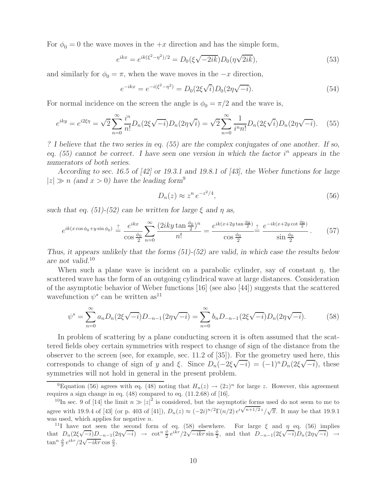For  $\phi_0 = 0$  the wave moves in the  $+x$  direction and has the simple form,

$$
e^{ikx} = e^{ik(\xi^2 - \eta^2)/2} = D_0(\xi\sqrt{-2ik})D_0(\eta\sqrt{2ik}),
$$
\n(53)

and similarly for  $\phi_0 = \pi$ , when the wave moves in the  $-x$  direction,

$$
e^{-ikx} = e^{-i(\xi^2 - \eta^2)} = D_0(2\xi\sqrt{i})D_0(2\eta\sqrt{-i}).
$$
\n(54)

For normal incidence on the screen the angle is  $\phi_0 = \pi/2$  and the wave is,

$$
e^{iky} = e^{i2\xi\eta} = \sqrt{2} \sum_{n=0}^{\infty} \frac{i^n}{n!} D_n(2\xi\sqrt{-i}) D_n(2\eta\sqrt{i}) = \sqrt{2} \sum_{n=0}^{\infty} \frac{1}{i^n n!} D_n(2\xi\sqrt{i}) D_n(2\eta\sqrt{-i}). \tag{55}
$$

*? I believe that the two series in eq. (55) are the complex conjugates of one another. If so, eq.* (55) cannot be correct. I have seen one version in which the factor  $i^n$  appears in the *numerators of both series.*

*According to sec. 16.5 of [42] or 19.3.1 and 19.8.1 of [43], the Weber functions for large*  $|z| \gg n$  (and  $x > 0$ ) have the leading form<sup>9</sup>

$$
D_n(z) \approx z^n e^{-z^2/4},\tag{56}
$$

*such that eq.* (51)-(52) can be written for large  $\xi$  and  $\eta$  as,

$$
e^{ik(x\cos\phi_0 + y\sin\phi_0)} \stackrel{?}{=} \frac{e^{ikx}}{\cos\frac{\phi_0}{2}} \sum_{n=0}^{\infty} \frac{(2iky\tan\frac{\phi_0}{2})^n}{n!} = \frac{e^{ik(x+2y\tan\frac{\phi_0}{2})}}{\cos\frac{\phi_0}{2}} \frac{?}{\sin\frac{\phi_0}{2}} \frac{e^{-ik(x+2y\cot\frac{\phi_0}{2})}}{\sin\frac{\phi_0}{2}}.
$$
(57)

*Thus, it appears unlikely that the forms (51)-(52) are valid, in which case the results below are not valid.*<sup>10</sup>

When such a plane wave is incident on a parabolic cylinder, say of constant  $\eta$ , the scattered wave has the form of an outgoing cylindrical wave at large distances. Consideration of the asymptotic behavior of Weber functions [16] (see also [44]) suggests that the scattered wavefunction  $\psi^s$  can be written as<sup>11</sup>

$$
\psi^s = \sum_{n=0}^{\infty} a_n D_n (2\xi \sqrt{-i}) D_{-n-1} (2\eta \sqrt{-i}) = \sum_{n=0}^{\infty} b_n D_{-n-1} (2\xi \sqrt{-i}) D_n (2\eta \sqrt{-i}). \tag{58}
$$

In problem of scattering by a plane conducting screen it is often assumed that the scattered fields obey certain symmetries with respect to change of sign of the distance from the observer to the screen (see, for example, sec. 11.2 of [35]). For the geometry used here, this corresponds to change of sign of y and  $\xi$ . Since  $D_n(-2\xi\sqrt{-i})=(-1)^nD_n(2\xi\sqrt{-i})$ , these symmetries will not hold in general in the present problem.

<sup>&</sup>lt;sup>9</sup>Equation (56) agrees with eq. (48) noting that  $H_n(z) \to (2z)^n$  for large z. However, this agreement requires a sign change in eq. (48) compared to eq. (11.2.68) of [16].

<sup>&</sup>lt;sup>10</sup>In sec. 9 of [14] the limit  $n \gg |z|^2$  is considered, but the asymptotic forms used do not seem to me to agree with 19.9.4 of [43] (or p. 403 of [41]),  $D_n(z) \approx (-2i)^{n/2} \Gamma(n/2) e^{i \sqrt{n+1/2} z} / \sqrt{\pi}$ . It may be that 19.9.1 was used, which applies for negative *n*.

<sup>&</sup>lt;sup>11</sup>I have not seen the second form of eq. (58) elsewhere. For large  $\xi$  and  $\eta$  eq. (56) implies that  $D_n(2\xi\sqrt{-i})D_{-n-1}(2\eta\sqrt{-i}) \rightarrow \cot^n \frac{\phi}{2} e^{ikr}/2\sqrt{-ikr} \sin \frac{\phi}{2}$ , and that  $D_{-n-1}(2\xi\sqrt{-i})D_n(2\eta\sqrt{-i}) \rightarrow$  $\tan^n \frac{\phi}{2} e^{ikr}/2\sqrt{-ikr} \cos \frac{\phi}{2}.$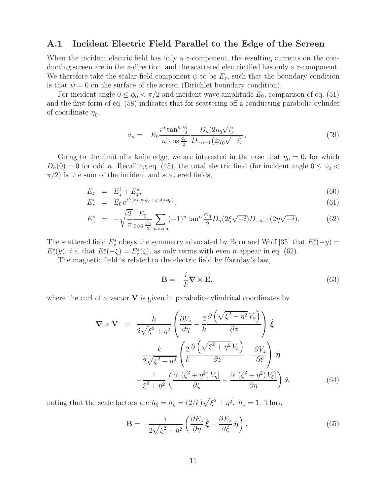### **A.1 Incident Electric Field Parallel to the Edge of the Screen**

When the incident electric field has only a z-component, the resulting currents on the conducting screen are in the z-direction, and the scattered electric filed has only a z-component. We therefore take the scalar field component  $\psi$  to be  $E_z$ , such that the boundary condition is that  $\psi = 0$  on the surface of the screen (Dirichlet boundary condition).

For incident angle  $0 \le \phi_0 < \pi/2$  and incident wave amplitude  $E_0$ , comparison of eq. (51) and the first form of eq. (58) indicates that for scattering off a conducting parabolic cylinder of coordinate  $\eta_0$ ,

$$
a_n = -E_0 \frac{i^n \tan^n \frac{\phi_0}{2}}{n! \cos \frac{\phi_0}{2}} \frac{D_n(2\eta_0\sqrt{i})}{D_{-n-1}(2\eta_0\sqrt{-i})},\tag{59}
$$

Going to the limit of a knife edge, we are interested in the case that  $\eta_0 = 0$ , for which  $D_n(0) = 0$  for odd n. Recalling eq. (45), the total electric field (for incident angle  $0 \le \phi_0$  $\pi/2$ ) is the sum of the incident and scattered fields,

$$
E_z = E_z^i + E_z^s, \tag{60}
$$

$$
E_z^i = E_0 e^{ik(x\cos\phi_0 + y\sin\phi_0)}, \tag{61}
$$

$$
E_z^s = -\sqrt{\frac{2}{\pi}} \frac{E_0}{\cos \frac{\phi_0}{2}} \sum_{n \text{ even}} (-1)^n \tan^n \frac{\phi_0}{2} D_n(2\xi\sqrt{-i}) D_{-n-1}(2\eta\sqrt{-i}). \tag{62}
$$

The scattered field  $E_z^s$  obeys the symmetry advocated by Born and Wolf [35] that  $E_z^s(-y) =$  $E_z^s(y)$ , *i.e.* that  $E_z^s(-\xi) = E_z^s(\xi)$ , as only terms with even *n* appear in eq. (62).

The magnetic field is related to the electric field by Faraday's law,

$$
\mathbf{B} = -\frac{i}{k} \nabla \times \mathbf{E},\tag{63}
$$

where the curl of a vector  $\bf{V}$  is given in parabolic-cylindrical coordinates by

$$
\nabla \times \mathbf{V} = \frac{k}{2\sqrt{\xi^2 + \eta^2}} \left( \frac{\partial V_z}{\partial \eta} - \frac{2}{k} \frac{\partial \left( \sqrt{\xi^2 + \eta^2} V_{\eta} \right)}{\partial z} \right) \hat{\xi} + \frac{k}{2\sqrt{\xi^2 + \eta^2}} \left( \frac{2}{k} \frac{\partial \left( \sqrt{\xi^2 + \eta^2} V_{\xi} \right)}{\partial z} - \frac{\partial V_z}{\partial \xi} \right) \hat{\eta} + \frac{1}{\xi^2 + \eta^2} \left( \frac{\partial \left[ (\xi^2 + \eta^2) V_{\eta} \right]}{\partial \xi} - \frac{\partial \left[ (\xi^2 + \eta^2) V_{\xi} \right]}{\partial \eta} \right) \hat{\mathbf{z}},
$$
(64)

noting that the scale factors are  $h_{\xi} = h_{\eta} = (2/k)\sqrt{\xi^2 + \eta^2}$ ,  $h_z = 1$ . Thus,

$$
\mathbf{B} = -\frac{i}{2\sqrt{\xi^2 + \eta^2}} \left( \frac{\partial E_z}{\partial \eta} \hat{\xi} - \frac{\partial E_z}{\partial \xi} \hat{\eta} \right).
$$
(65)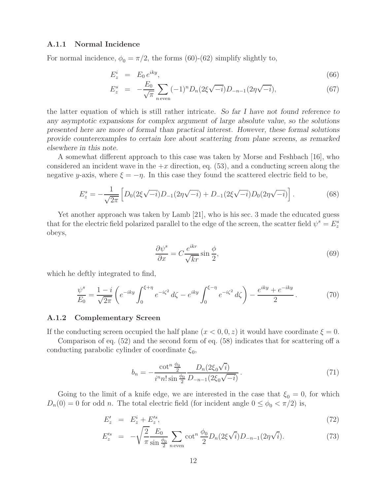### **A.1.1 Normal Incidence**

For normal incidence,  $\phi_0 = \pi/2$ , the forms (60)-(62) simplify slightly to,

$$
E_z^i = E_0 e^{iky}, \tag{66}
$$

$$
E_z^s = -\frac{E_0}{\sqrt{\pi}} \sum_{n \text{ even}} (-1)^n D_n(2\xi \sqrt{-i}) D_{-n-1}(2\eta \sqrt{-i}), \tag{67}
$$

the latter equation of which is still rather intricate. *So far I have not found reference to any asymptotic expansions for complex argument of large absolute value, so the solutions presented here are more of formal than practical interest. However, these formal solutions provide counterexamples to certain lore about scattering from plane screens, as remarked elsewhere in this note.*

A somewhat different approach to this case was taken by Morse and Feshbach [16], who considered an incident wave in the  $+x$  direction, eq. (53), and a conducting screen along the negative y-axis, where  $\xi = -\eta$ . In this case they found the scattered electric field to be,

$$
E_z^s = -\frac{1}{\sqrt{2\pi}} \left[ D_0(2\xi\sqrt{-i})D_{-1}(2\eta\sqrt{-i}) + D_{-1}(2\xi\sqrt{-i})D_0(2\eta\sqrt{-i}) \right].
$$
 (68)

Yet another approach was taken by Lamb [21], who is his sec. 3 made the educated guess that for the electric field polarized parallel to the edge of the screen, the scatter field  $\psi^s = E_z^s$ obeys,

$$
\frac{\partial \psi^s}{\partial x} = C \frac{e^{ikr}}{\sqrt{kr}} \sin \frac{\phi}{2},\tag{69}
$$

which he deftly integrated to find,

$$
\frac{\psi^s}{E_0} = \frac{1 - i}{\sqrt{2\pi}} \left( e^{-iky} \int_0^{\xi + \eta} e^{-i\zeta^2} d\zeta - e^{iky} \int_0^{\xi - \eta} e^{-i\zeta^2} d\zeta \right) - \frac{e^{iky} + e^{-iky}}{2}.
$$
 (70)

#### **A.1.2 Complementary Screen**

If the conducting screen occupied the half plane  $(x < 0, 0, z)$  it would have coordinate  $\xi = 0$ .

Comparison of eq. (52) and the second form of eq. (58) indicates that for scattering off a conducting parabolic cylinder of coordinate  $\xi_0$ ,

$$
b_n = -\frac{\cot^n \frac{\phi_0}{2}}{i^n n! \sin \frac{\phi_0}{2}} \frac{D_n(2\xi_0\sqrt{i})}{D_{-n-1}(2\xi_0\sqrt{-i})}.
$$
\n(71)

Going to the limit of a knife edge, we are interested in the case that  $\xi_0 = 0$ , for which  $D_n(0) = 0$  for odd n. The total electric field (for incident angle  $0 \le \phi_0 < \pi/2$ ) is,

$$
E_z' = E_z^i + E_z'^s,\tag{72}
$$

$$
E_z^{\prime s} = -\sqrt{\frac{2}{\pi}} \frac{E_0}{\sin \frac{\phi_0}{2}} \sum_{n \text{ even}} \cot^n \frac{\phi_0}{2} D_n(2\xi\sqrt{i}) D_{-n-1}(2\eta\sqrt{i}). \tag{73}
$$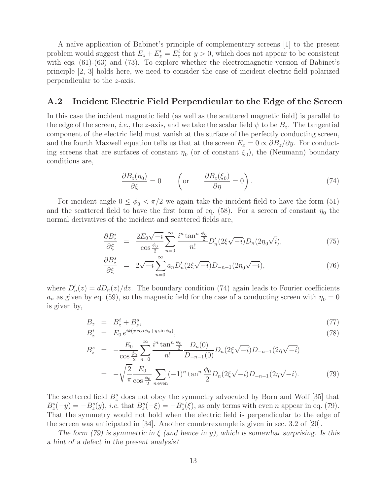A na¨ıve application of Babinet's principle of complementary screens [1] to the present problem would suggest that  $E_z + E'_z = E^i_z$  for  $y > 0$ , which does not appear to be consistent with eqs. (61)-(63) and (73). To explore whether the electromagnetic version of Babinet's principle [2, 3] holds here, we need to consider the case of incident electric field polarized perpendicular to the z-axis.

### **A.2 Incident Electric Field Perpendicular to the Edge of the Screen**

In this case the incident magnetic field (as well as the scattered magnetic field) is parallel to the edge of the screen, *i.e.*, the z-axis, and we take the scalar field  $\psi$  to be  $B_z$ . The tangential component of the electric field must vanish at the surface of the perfectly conducting screen, and the fourth Maxwell equation tells us that at the screen  $E_x = 0 \propto \partial B_z / \partial y$ . For conducting screens that are surfaces of constant  $\eta_0$  (or of constant  $\xi_0$ ), the (Neumann) boundary conditions are,

$$
\frac{\partial B_z(\eta_0)}{\partial \xi} = 0 \qquad \left(\text{or} \qquad \frac{\partial B_z(\xi_0)}{\partial \eta} = 0\right). \tag{74}
$$

For incident angle  $0 \le \phi_0 < \pi/2$  we again take the incident field to have the form (51) and the scattered field to have the first form of eq. (58). For a screen of constant  $\eta_0$  the normal derivatives of the incident and scattered fields are,

$$
\frac{\partial B_z^i}{\partial \xi} = \frac{2E_0\sqrt{-i}}{\cos\frac{\phi_0}{2}} \sum_{n=0}^{\infty} \frac{i^n \tan^n \frac{\phi_0}{2}}{n!} D'_n(2\xi\sqrt{-i}) D_n(2\eta_0\sqrt{i}),\tag{75}
$$

$$
\frac{\partial B_z^s}{\partial \xi} = 2\sqrt{-i} \sum_{n=0}^{\infty} a_n D'_n (2\xi \sqrt{-i}) D_{-n-1} (2\eta_0 \sqrt{-i}), \tag{76}
$$

where  $D'_n(z) = dD_n(z)/dz$ . The boundary condition (74) again leads to Fourier coefficients  $a_n$  as given by eq. (59), so the magnetic field for the case of a conducting screen with  $\eta_0 = 0$ is given by,

$$
B_z = B_z^i + B_z^s,
$$
  
\n
$$
B_z^i = E_0 e^{ik(x \cos \phi_0 + y \sin \phi_0)},
$$
\n(77)

$$
B_z^s = -\frac{E_0}{\cos\frac{\phi_0}{2}} \sum_{n=0}^{\infty} \frac{i^n \tan^n \frac{\phi_0}{2}}{n!} \frac{D_n(0)}{D_{-n-1}(0)} D_n(2\xi\sqrt{-i}) D_{-n-1}(2\eta\sqrt{-i})
$$
  
= 
$$
-\sqrt{\frac{2}{\pi}} \frac{E_0}{\cos\frac{\phi_0}{2}} \sum_{n \text{ even}} (-1)^n \tan^n \frac{\phi_0}{2} D_n(2\xi\sqrt{-i}) D_{-n-1}(2\eta\sqrt{-i}).
$$
 (79)

The scattered field  $B_z^s$  does not obey the symmetry advocated by Born and Wolf [35] that  $B_z^s(-y) = -B_z^s(y)$ , *i.e.* that  $B_z^s(-\xi) = -B_z^s(\xi)$ , as only terms with even *n* appear in eq. (79). That the symmetry would not hold when the electric field is perpendicular to the edge of the screen was anticipated in [34]. Another counterexample is given in sec. 3.2 of [20].

*The form (79) is symmetric in* ξ *(and hence in* y*), which is somewhat surprising. Is this a hint of a defect in the present analysis?*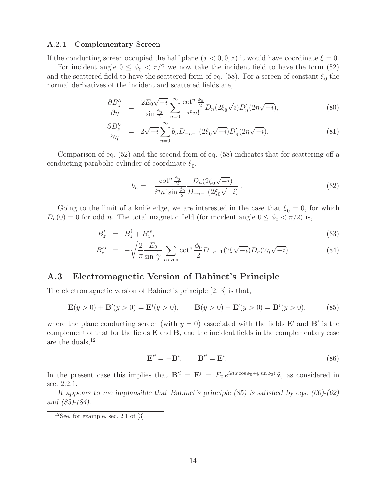#### **A.2.1 Complementary Screen**

If the conducting screen occupied the half plane  $(x < 0, 0, z)$  it would have coordinate  $\xi = 0$ .

For incident angle  $0 \le \phi_0 < \pi/2$  we now take the incident field to have the form (52) and the scattered field to have the scattered form of eq. (58). For a screen of constant  $\xi_0$  the normal derivatives of the incident and scattered fields are,

$$
\frac{\partial B_z^i}{\partial \eta} = \frac{2E_0\sqrt{-i}}{\sin\frac{\phi_0}{2}} \sum_{n=0}^{\infty} \frac{\cot^n \frac{\phi_0}{2}}{i^n n!} D_n(2\xi_0\sqrt{i}) D_n'(2\eta\sqrt{-i}), \tag{80}
$$

$$
\frac{\partial B_z^{\prime s}}{\partial \eta} = 2\sqrt{-i} \sum_{n=0}^{\infty} b_n D_{-n-1} (2\xi_0 \sqrt{-i}) D_n' (2\eta \sqrt{-i}). \tag{81}
$$

Comparison of eq. (52) and the second form of eq. (58) indicates that for scattering off a conducting parabolic cylinder of coordinate  $\xi_0$ ,

$$
b_n = -\frac{\cot^n \frac{\phi_0}{2}}{i^n n! \sin \frac{\phi_0}{2}} \frac{D_n(2\xi_0 \sqrt{-i})}{D_{-n-1}(2\xi_0 \sqrt{-i})}.
$$
\n(82)

Going to the limit of a knife edge, we are interested in the case that  $\xi_0 = 0$ , for which  $D_n(0) = 0$  for odd n. The total magnetic field (for incident angle  $0 \le \phi_0 < \pi/2$ ) is,

$$
B_z' = B_z^i + B_z'^s,\tag{83}
$$

$$
B_z^{\prime s} = -\sqrt{\frac{2}{\pi}} \frac{E_0}{\sin \frac{\phi_0}{2}} \sum_{n \text{ even}} \cot^n \frac{\phi_0}{2} D_{-n-1} (2\xi \sqrt{-i}) D_n (2\eta \sqrt{-i}). \tag{84}
$$

## **A.3 Electromagnetic Version of Babinet's Principle**

The electromagnetic version of Babinet's principle [2, 3] is that,

$$
\mathbf{E}(y > 0) + \mathbf{B}'(y > 0) = \mathbf{E}^{i}(y > 0), \qquad \mathbf{B}(y > 0) - \mathbf{E}'(y > 0) = \mathbf{B}^{i}(y > 0), \tag{85}
$$

where the plane conducting screen (with  $y = 0$ ) associated with the fields **E**' and **B**' is the complement of that for the fields **E** and **B**, and the incident fields in the complementary case are the duals,  $^{12}$ 

$$
\mathbf{E}'^i = -\mathbf{B}^i, \qquad \mathbf{B}'^i = \mathbf{E}^i. \tag{86}
$$

In the present case this implies that  $\mathbf{B}'^i = \mathbf{E}^i = E_0 e^{ik(x \cos \phi_0 + y \sin \phi_0)} \hat{\mathbf{z}}$ , as considered in sec. 2.2.1.

*It appears to me implausible that Babinet's principle (85) is satisfied by eqs. (60)-(62) and (83)-(84).*

 $12$ See, for example, sec. 2.1 of [3].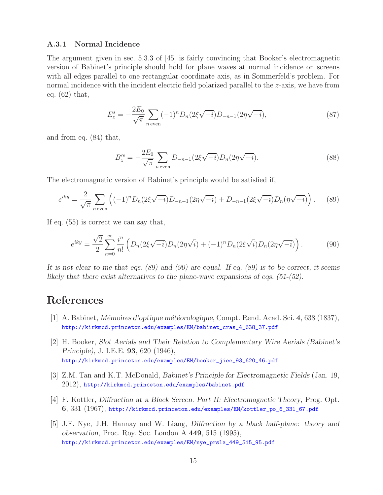### **A.3.1 Normal Incidence**

The argument given in sec. 5.3.3 of [45] is fairly convincing that Booker's electromagnetic version of Babinet's principle should hold for plane waves at normal incidence on screens with all edges parallel to one rectangular coordinate axis, as in Sommerfeld's problem. For normal incidence with the incident electric field polarized parallel to the z-axis, we have from eq. (62) that,

$$
E_z^s = -\frac{2E_0}{\sqrt{\pi}} \sum_{n \text{ even}} (-1)^n D_n(2\xi\sqrt{-i}) D_{-n-1}(2\eta\sqrt{-i}),\tag{87}
$$

and from eq. (84) that,

$$
B_z^{\prime s} = -\frac{2E_0}{\sqrt{\pi}} \sum_{n \text{ even}} D_{-n-1} (2\xi \sqrt{-i}) D_n (2\eta \sqrt{-i}). \tag{88}
$$

The electromagnetic version of Babinet's principle would be satisfied if,

$$
e^{iky} = \frac{2}{\sqrt{\pi}} \sum_{n \text{ even}} \left( (-1)^n D_n(2\xi\sqrt{-i}) D_{-n-1}(2\eta\sqrt{-i}) + D_{-n-1}(2\xi\sqrt{-i}) D_n(\eta\sqrt{-i}) \right). \tag{89}
$$

If eq. (55) is correct we can say that,

$$
e^{iky} = \frac{\sqrt{2}}{2} \sum_{n=0}^{\infty} \frac{i^n}{n!} \left( D_n(2\xi\sqrt{-i}) D_n(2\eta\sqrt{i}) + (-1)^n D_n(2\xi\sqrt{i}) D_n(2\eta\sqrt{-i}) \right).
$$
 (90)

*It is not clear to me that eqs. (89) and (90) are equal. If eq. (89) is to be correct, it seems likely that there exist alternatives to the plane-wave expansions of eqs. (51-(52).*

## **References**

- [1] A. Babinet, *M´emoires d'optique m´et´eorologique*, Compt. Rend. Acad. Sci. **4**, 638 (1837), http://kirkmcd.princeton.edu/examples/EM/babinet\_cras\_4\_638\_37.pdf
- [2] H. Booker, *Slot Aerials and Their Relation to Complementary Wire Aerials (Babinet's Principle)*, J. I.E.E. **93**, 620 (1946), http://kirkmcd.princeton.edu/examples/EM/booker\_jiee\_93\_620\_46.pdf
- [3] Z.M. Tan and K.T. McDonald, *Babinet's Principle for Electromagnetic Fields* (Jan. 19, 2012), http://kirkmcd.princeton.edu/examples/babinet.pdf
- [4] F. Kottler, *Diffraction at a Black Screen. Part II: Electromagnetic Theory*, Prog. Opt. **6**, 331 (1967), http://kirkmcd.princeton.edu/examples/EM/kottler\_po\_6\_331\_67.pdf
- [5] J.F. Nye, J.H. Hannay and W. Liang, *Diffraction by a black half-plane: theory and observation*, Proc. Roy. Soc. London A **449**, 515 (1995), http://kirkmcd.princeton.edu/examples/EM/nye\_prsla\_449\_515\_95.pdf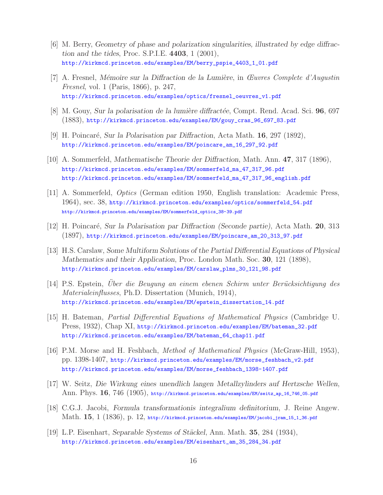- [6] M. Berry, *Geometry of phase and polarization singularities, illustrated by edge diffraction and the tides*, Proc. S.P.I.E. **4403**, 1 (2001), http://kirkmcd.princeton.edu/examples/EM/berry\_pspie\_4403\_1\_01.pdf
- [7] A. Fresnel, *M´emoire sur la Diffraction de la Lumi`ere*, in Œuvres Complete d'Augustin Fresnel, vol. 1 (Paris, 1866), p. 247, http://kirkmcd.princeton.edu/examples/optics/fresnel\_oeuvres\_v1.pdf
- [8] M. Gouy, *Sur la polarisation de la lumière diffractée*, Compt. Rend. Acad. Sci. **96**, 697 (1883), http://kirkmcd.princeton.edu/examples/EM/gouy\_cras\_96\_697\_83.pdf
- [9] H. Poincar´e, *Sur la Polarisation par Diffraction*, Acta Math. **16**, 297 (1892), http://kirkmcd.princeton.edu/examples/EM/poincare\_am\_16\_297\_92.pdf
- [10] A. Sommerfeld, *Mathematische Theorie der Diffraction*, Math. Ann. **47**, 317 (1896), http://kirkmcd.princeton.edu/examples/EM/sommerfeld\_ma\_47\_317\_96.pdf http://kirkmcd.princeton.edu/examples/EM/sommerfeld\_ma\_47\_317\_96\_english.pdf
- [11] A. Sommerfeld, Optics (German edition 1950, English translation: Academic Press, 1964), sec. 38, http://kirkmcd.princeton.edu/examples/optics/sommerfeld\_54.pdf http://kirkmcd.princeton.edu/examples/EM/sommerfeld\_optics\_38-39.pdf
- [12] H. Poincar´e, *Sur la Polarisation par Diffraction (Seconde partie)*, Acta Math. **20**, 313 (1897), http://kirkmcd.princeton.edu/examples/EM/poincare\_am\_20\_313\_97.pdf
- [13] H.S. Carslaw, *Some Multiform Solutions of the Partial Differential Equations of Physical Mathematics and their Application*, Proc. London Math. Soc. **30**, 121 (1898), http://kirkmcd.princeton.edu/examples/EM/carslaw\_plms\_30\_121\_98.pdf
- [14] P.S. Epstein, Uber die Beugung an einem ebenen Schirm unter Berücksichtigung des Materialeinflusses, Ph.D. Dissertation (Munich, 1914), http://kirkmcd.princeton.edu/examples/EM/epstein\_dissertation\_14.pdf
- [15] H. Bateman, Partial Differential Equations of Mathematical Physics (Cambridge U. Press, 1932), Chap XI, http://kirkmcd.princeton.edu/examples/EM/bateman\_32.pdf http://kirkmcd.princeton.edu/examples/EM/bateman\_64\_chap11.pdf
- [16] P.M. Morse and H. Feshbach, Method of Mathematical Physics (McGraw-Hill, 1953), pp. 1398-1407, http://kirkmcd.princeton.edu/examples/EM/morse\_feshbach\_v2.pdf http://kirkmcd.princeton.edu/examples/EM/morse\_feshbach\_1398-1407.pdf
- [17] W. Seitz, *Die Wirkung eines unendlich langen Metallzylinders auf Hertzsche Wellen*, Ann. Phys. **16**, 746 (1905), http://kirkmcd.princeton.edu/examples/EM/seitz\_ap\_16\_746\_05.pdf
- [18] C.G.J. Jacobi, *Formula transformationis integralium definitorium*, J. Reine Angew. Math. **15**, 1 (1836), p. 12, http://kirkmcd.princeton.edu/examples/EM/jacobi\_jram\_15\_1\_36.pdf
- [19] L.P. Eisenhart, *Separable Systems of St¨ackel*, Ann. Math. **35**, 284 (1934), http://kirkmcd.princeton.edu/examples/EM/eisenhart\_am\_35\_284\_34.pdf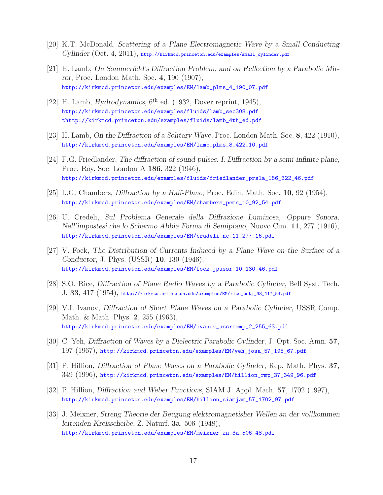- [20] K.T. McDonald, *Scattering of a Plane Electromagnetic Wave by a Small Conducting Cylinder* (Oct. 4, 2011), http://kirkmcd.princeton.edu/examples/small\_cylinder.pdf
- [21] H. Lamb, *On Sommerfeld's Diffraction Problem; and on Reflection by a Parabolic Mirror*, Proc. London Math. Soc. **4**, 190 (1907), http://kirkmcd.princeton.edu/examples/EM/lamb\_plms\_4\_190\_07.pdf
- [22] H. Lamb, *Hydrodynamics*,  $6^{th}$  ed. (1932, Dover reprint, 1945), http://kirkmcd.princeton.edu/examples/fluids/lamb\_sec308.pdf thttp://kirkmcd.princeton.edu/examples/fluids/lamb\_4th\_ed.pdf
- [23] H. Lamb, *On the Diffraction of a Solitary Wave*, Proc. London Math. Soc. **8**, 422 (1910), http://kirkmcd.princeton.edu/examples/EM/lamb\_plms\_8\_422\_10.pdf
- [24] F.G. Friedlander, *The diffraction of sound pulses. I. Diffraction by a semi-infinite plane*, Proc. Roy. Soc. London A **186**, 322 (1946), http://kirkmcd.princeton.edu/examples/fluids/friedlander\_prsla\_186\_322\_46.pdf
- [25] L.G. Chambers, *Diffraction by a Half-Plane*, Proc. Edin. Math. Soc. **10**, 92 (1954), http://kirkmcd.princeton.edu/examples/EM/chambers\_pems\_10\_92\_54.pdf
- [26] U. Credeli, *Sul Problema Generale della Diffrazione Luminosa, Oppure Sonora, Nell'impostesi che lo Schermo Abbia Forma di Semipiano*, Nuovo Cim. **11**, 277 (1916), http://kirkmcd.princeton.edu/examples/EM/crudeli\_nc\_11\_277\_16.pdf
- [27] V. Fock, *The Distribution of Currents Induced by a Plane Wave on the Surface of a Conductor*, J. Phys. (USSR) **10**, 130 (1946), http://kirkmcd.princeton.edu/examples/EM/fock\_jpussr\_10\_130\_46.pdf
- [28] S.O. Rice, *Diffraction of Plane Radio Waves by a Parabolic Cylinder*, Bell Syst. Tech. J. **33**, 417 (1954), http://kirkmcd.princeton.edu/examples/EM/rice\_bstj\_33\_417\_54.pdf
- [29] V.I. Ivanov, *Diffraction of Short Plane Waves on a Parabolic Cylinder*, USSR Comp. Math. & Math. Phys. **2**, 255 (1963), http://kirkmcd.princeton.edu/examples/EM/ivanov\_ussrcmmp\_2\_255\_63.pdf
- [30] C. Yeh, *Diffraction of Waves by a Dielectric Parabolic Cylinder*, J. Opt. Soc. Amn. **57**, 197 (1967), http://kirkmcd.princeton.edu/examples/EM/yeh\_josa\_57\_195\_67.pdf
- [31] P. Hillion, *Diffraction of Plane Waves on a Parabolic Cylinder*, Rep. Math. Phys. **37**, 349 (1996), http://kirkmcd.princeton.edu/examples/EM/hillion\_rmp\_37\_349\_96.pdf
- [32] P. Hillion, *Diffraction and Weber Functions*, SIAM J. Appl. Math. **57**, 1702 (1997), http://kirkmcd.princeton.edu/examples/EM/hillion\_siamjam\_57\_1702\_97.pdf
- [33] J. Meixner, *Streng Theorie der Beugung elektromagnetisher Wellen an der vollkommen leitenden Kreisscheibe*, Z. Naturf. **3a**, 506 (1948), http://kirkmcd.princeton.edu/examples/EM/meixner\_zn\_3a\_506\_48.pdf